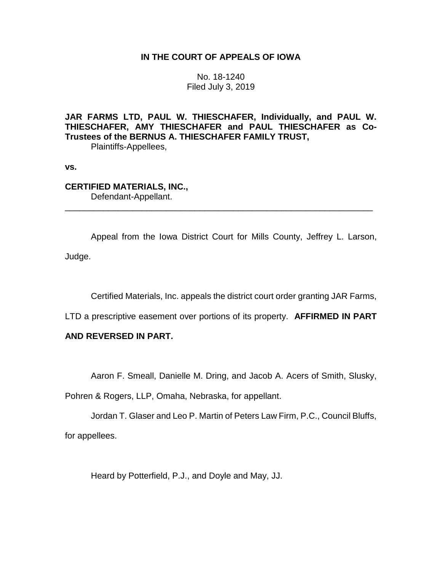# **IN THE COURT OF APPEALS OF IOWA**

No. 18-1240 Filed July 3, 2019

**JAR FARMS LTD, PAUL W. THIESCHAFER, Individually, and PAUL W. THIESCHAFER, AMY THIESCHAFER and PAUL THIESCHAFER as Co-Trustees of the BERNUS A. THIESCHAFER FAMILY TRUST,**

Plaintiffs-Appellees,

**vs.**

# **CERTIFIED MATERIALS, INC.,** Defendant-Appellant.

Appeal from the Iowa District Court for Mills County, Jeffrey L. Larson, Judge.

\_\_\_\_\_\_\_\_\_\_\_\_\_\_\_\_\_\_\_\_\_\_\_\_\_\_\_\_\_\_\_\_\_\_\_\_\_\_\_\_\_\_\_\_\_\_\_\_\_\_\_\_\_\_\_\_\_\_\_\_\_\_\_\_

Certified Materials, Inc. appeals the district court order granting JAR Farms,

LTD a prescriptive easement over portions of its property. **AFFIRMED IN PART** 

### **AND REVERSED IN PART.**

Aaron F. Smeall, Danielle M. Dring, and Jacob A. Acers of Smith, Slusky,

Pohren & Rogers, LLP, Omaha, Nebraska, for appellant.

Jordan T. Glaser and Leo P. Martin of Peters Law Firm, P.C., Council Bluffs, for appellees.

Heard by Potterfield, P.J., and Doyle and May, JJ.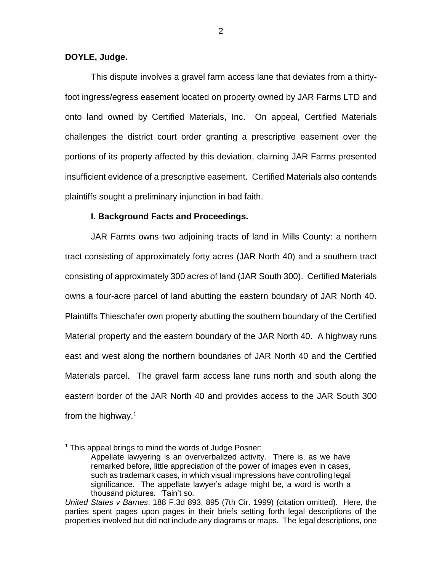#### **DOYLE, Judge.**

This dispute involves a gravel farm access lane that deviates from a thirtyfoot ingress/egress easement located on property owned by JAR Farms LTD and onto land owned by Certified Materials, Inc. On appeal, Certified Materials challenges the district court order granting a prescriptive easement over the portions of its property affected by this deviation, claiming JAR Farms presented insufficient evidence of a prescriptive easement. Certified Materials also contends plaintiffs sought a preliminary injunction in bad faith.

#### **I. Background Facts and Proceedings.**

JAR Farms owns two adjoining tracts of land in Mills County: a northern tract consisting of approximately forty acres (JAR North 40) and a southern tract consisting of approximately 300 acres of land (JAR South 300). Certified Materials owns a four-acre parcel of land abutting the eastern boundary of JAR North 40. Plaintiffs Thieschafer own property abutting the southern boundary of the Certified Material property and the eastern boundary of the JAR North 40. A highway runs east and west along the northern boundaries of JAR North 40 and the Certified Materials parcel. The gravel farm access lane runs north and south along the eastern border of the JAR North 40 and provides access to the JAR South 300 from the highway.<sup>1</sup>

 $\overline{a}$ 

2

<sup>&</sup>lt;sup>1</sup> This appeal brings to mind the words of Judge Posner:

Appellate lawyering is an oververbalized activity. There is, as we have remarked before, little appreciation of the power of images even in cases, such as trademark cases, in which visual impressions have controlling legal significance. The appellate lawyer's adage might be, a word is worth a thousand pictures. 'Tain't so.

*United States v Barnes*, 188 F.3d 893, 895 (7th Cir. 1999) (citation omitted). Here, the parties spent pages upon pages in their briefs setting forth legal descriptions of the properties involved but did not include any diagrams or maps. The legal descriptions, one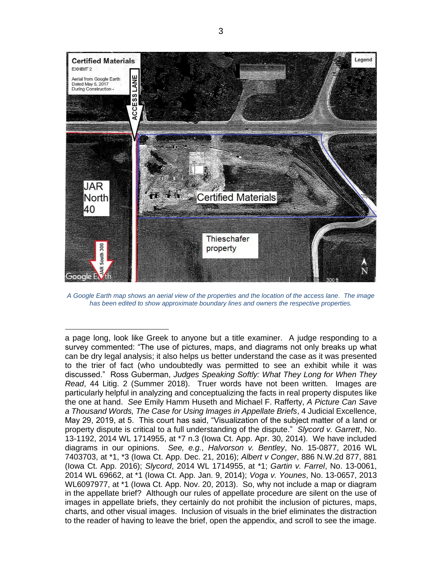

*A Google Earth map shows an aerial view of the properties and the location of the access lane. The image has been edited to show approximate boundary lines and owners the respective properties.*

 $\overline{a}$ 

a page long, look like Greek to anyone but a title examiner. A judge responding to a survey commented: "The use of pictures, maps, and diagrams not only breaks up what can be dry legal analysis; it also helps us better understand the case as it was presented to the trier of fact (who undoubtedly was permitted to see an exhibit while it was discussed." Ross Guberman, *Judges Speaking Softly: What They Long for When They Read*, 44 Litig. 2 (Summer 2018). Truer words have not been written. Images are particularly helpful in analyzing and conceptualizing the facts in real property disputes like the one at hand. *See* Emily Hamm Huseth and Michael F. Rafferty, *A Picture Can Save a Thousand Words, The Case for Using Images in Appellate Briefs*, 4 Judicial Excellence, May 29, 2019, at 5. This court has said, "Visualization of the subject matter of a land or property dispute is critical to a full understanding of the dispute." *Slycord v. Garrett*, No. 13-1192, 2014 WL 1714955, at \*7 n.3 (Iowa Ct. App. Apr. 30, 2014). We have included diagrams in our opinions. *See, e.g.*, *Halvorson v. Bentley*, No. 15-0877, 2016 WL 7403703, at \*1, \*3 (Iowa Ct. App. Dec. 21, 2016); *Albert v Conger*, 886 N.W.2d 877, 881 (Iowa Ct. App. 2016); *Slycord*, 2014 WL 1714955, at \*1; *Gartin v. Farrel*, No. 13-0061, 2014 WL 69662, at \*1 (Iowa Ct. App. Jan. 9, 2014); *Voga v. Younes*, No. 13-0657, 2013 WL6097977, at \*1 (Iowa Ct. App. Nov. 20, 2013). So, why not include a map or diagram in the appellate brief? Although our rules of appellate procedure are silent on the use of images in appellate briefs, they certainly do not prohibit the inclusion of pictures, maps, charts, and other visual images. Inclusion of visuals in the brief eliminates the distraction to the reader of having to leave the brief, open the appendix, and scroll to see the image.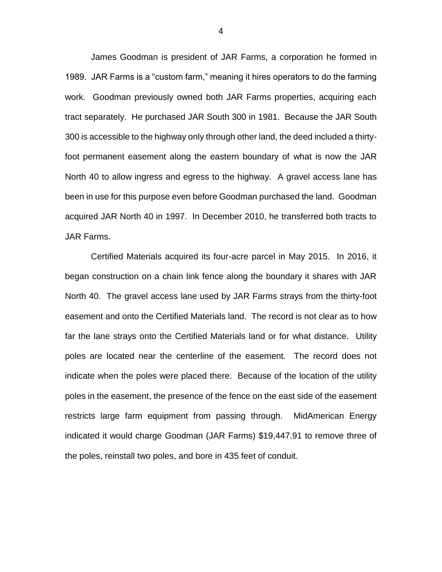James Goodman is president of JAR Farms, a corporation he formed in 1989. JAR Farms is a "custom farm," meaning it hires operators to do the farming work. Goodman previously owned both JAR Farms properties, acquiring each tract separately. He purchased JAR South 300 in 1981. Because the JAR South 300 is accessible to the highway only through other land, the deed included a thirtyfoot permanent easement along the eastern boundary of what is now the JAR North 40 to allow ingress and egress to the highway. A gravel access lane has been in use for this purpose even before Goodman purchased the land. Goodman acquired JAR North 40 in 1997. In December 2010, he transferred both tracts to JAR Farms.

Certified Materials acquired its four-acre parcel in May 2015. In 2016, it began construction on a chain link fence along the boundary it shares with JAR North 40. The gravel access lane used by JAR Farms strays from the thirty-foot easement and onto the Certified Materials land. The record is not clear as to how far the lane strays onto the Certified Materials land or for what distance. Utility poles are located near the centerline of the easement. The record does not indicate when the poles were placed there. Because of the location of the utility poles in the easement, the presence of the fence on the east side of the easement restricts large farm equipment from passing through. MidAmerican Energy indicated it would charge Goodman (JAR Farms) \$19,447.91 to remove three of the poles, reinstall two poles, and bore in 435 feet of conduit.

4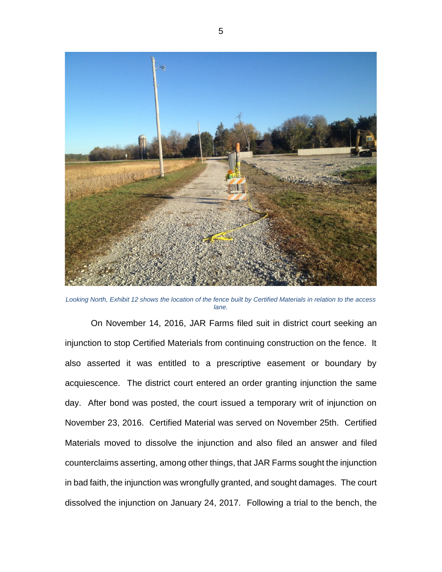

*Looking North, Exhibit 12 shows the location of the fence built by Certified Materials in relation to the access lane.*

On November 14, 2016, JAR Farms filed suit in district court seeking an injunction to stop Certified Materials from continuing construction on the fence. It also asserted it was entitled to a prescriptive easement or boundary by acquiescence. The district court entered an order granting injunction the same day. After bond was posted, the court issued a temporary writ of injunction on November 23, 2016. Certified Material was served on November 25th. Certified Materials moved to dissolve the injunction and also filed an answer and filed counterclaims asserting, among other things, that JAR Farms sought the injunction in bad faith, the injunction was wrongfully granted, and sought damages. The court dissolved the injunction on January 24, 2017. Following a trial to the bench, the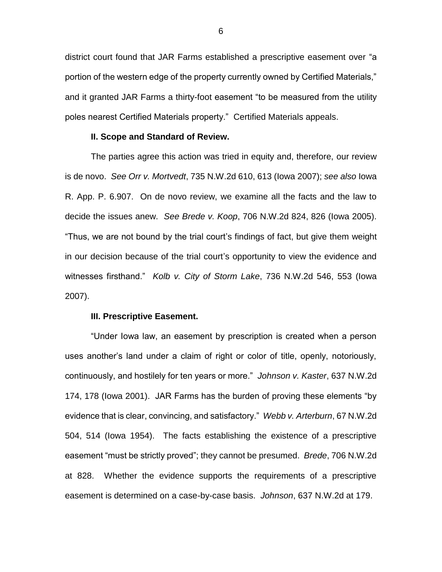district court found that JAR Farms established a prescriptive easement over "a portion of the western edge of the property currently owned by Certified Materials," and it granted JAR Farms a thirty-foot easement "to be measured from the utility poles nearest Certified Materials property." Certified Materials appeals.

#### **II. Scope and Standard of Review.**

The parties agree this action was tried in equity and, therefore, our review is de novo. *See Orr v. Mortvedt*, 735 N.W.2d 610, 613 (Iowa 2007); *see also* Iowa R. App. P. 6.907. On de novo review, we examine all the facts and the law to decide the issues anew. *See Brede v. Koop*, 706 N.W.2d 824, 826 (Iowa 2005). "Thus, we are not bound by the trial court's findings of fact, but give them weight in our decision because of the trial court's opportunity to view the evidence and witnesses firsthand." *Kolb v. City of Storm Lake*, 736 N.W.2d 546, 553 (Iowa 2007).

#### **III. Prescriptive Easement.**

"Under Iowa law, an easement by prescription is created when a person uses another's land under a claim of right or color of title, openly, notoriously, continuously, and hostilely for ten years or more." *Johnson v. Kaster*, 637 N.W.2d 174, 178 (Iowa 2001). JAR Farms has the burden of proving these elements "by evidence that is clear, convincing, and satisfactory." *Webb v. Arterburn*, 67 N.W.2d 504, 514 (Iowa 1954). The facts establishing the existence of a prescriptive easement "must be strictly proved"; they cannot be presumed. *Brede*, 706 N.W.2d at 828. Whether the evidence supports the requirements of a prescriptive easement is determined on a case-by-case basis. *Johnson*, 637 N.W.2d at 179.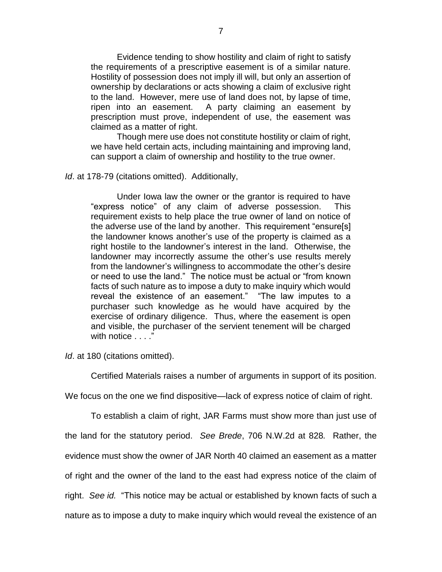Evidence tending to show hostility and claim of right to satisfy the requirements of a prescriptive easement is of a similar nature. Hostility of possession does not imply ill will, but only an assertion of ownership by declarations or acts showing a claim of exclusive right to the land. However, mere use of land does not, by lapse of time, ripen into an easement. A party claiming an easement by prescription must prove, independent of use, the easement was claimed as a matter of right.

Though mere use does not constitute hostility or claim of right, we have held certain acts, including maintaining and improving land, can support a claim of ownership and hostility to the true owner.

#### *Id*. at 178-79 (citations omitted). Additionally,

Under Iowa law the owner or the grantor is required to have "express notice" of any claim of adverse possession. This requirement exists to help place the true owner of land on notice of the adverse use of the land by another. This requirement "ensure[s] the landowner knows another's use of the property is claimed as a right hostile to the landowner's interest in the land. Otherwise, the landowner may incorrectly assume the other's use results merely from the landowner's willingness to accommodate the other's desire or need to use the land." The notice must be actual or "from known facts of such nature as to impose a duty to make inquiry which would reveal the existence of an easement." "The law imputes to a purchaser such knowledge as he would have acquired by the exercise of ordinary diligence. Thus, where the easement is open and visible, the purchaser of the servient tenement will be charged with notice . . . ."

*Id*. at 180 (citations omitted).

Certified Materials raises a number of arguments in support of its position.

We focus on the one we find dispositive—lack of express notice of claim of right.

To establish a claim of right, JAR Farms must show more than just use of the land for the statutory period. *See Brede*, 706 N.W.2d at 828*.* Rather, the evidence must show the owner of JAR North 40 claimed an easement as a matter of right and the owner of the land to the east had express notice of the claim of right. *See id.* "This notice may be actual or established by known facts of such a nature as to impose a duty to make inquiry which would reveal the existence of an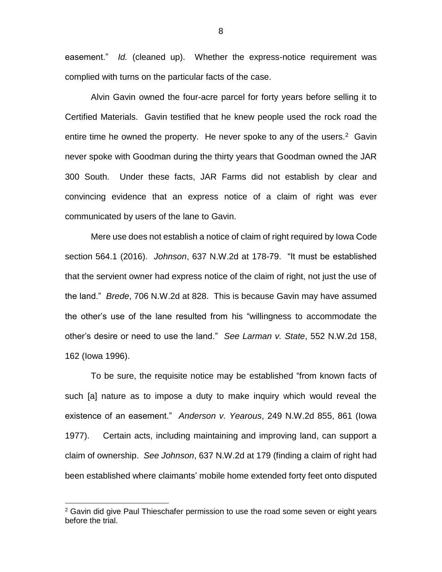easement." *Id.* (cleaned up). Whether the express-notice requirement was complied with turns on the particular facts of the case.

Alvin Gavin owned the four-acre parcel for forty years before selling it to Certified Materials. Gavin testified that he knew people used the rock road the entire time he owned the property. He never spoke to any of the users.<sup>2</sup> Gavin never spoke with Goodman during the thirty years that Goodman owned the JAR 300 South. Under these facts, JAR Farms did not establish by clear and convincing evidence that an express notice of a claim of right was ever communicated by users of the lane to Gavin.

Mere use does not establish a notice of claim of right required by Iowa Code section 564.1 (2016). *Johnson*, 637 N.W.2d at 178-79. "It must be established that the servient owner had express notice of the claim of right, not just the use of the land." *Brede*, 706 N.W.2d at 828. This is because Gavin may have assumed the other's use of the lane resulted from his "willingness to accommodate the other's desire or need to use the land." *See Larman v. State*, 552 N.W.2d 158, 162 (Iowa 1996).

To be sure, the requisite notice may be established "from known facts of such [a] nature as to impose a duty to make inquiry which would reveal the existence of an easement." *Anderson v. Yearous*, 249 N.W.2d 855, 861 (Iowa 1977). Certain acts, including maintaining and improving land, can support a claim of ownership. *See Johnson*, 637 N.W.2d at 179 (finding a claim of right had been established where claimants' mobile home extended forty feet onto disputed

 $\overline{a}$ 

8

<sup>&</sup>lt;sup>2</sup> Gavin did give Paul Thieschafer permission to use the road some seven or eight years before the trial.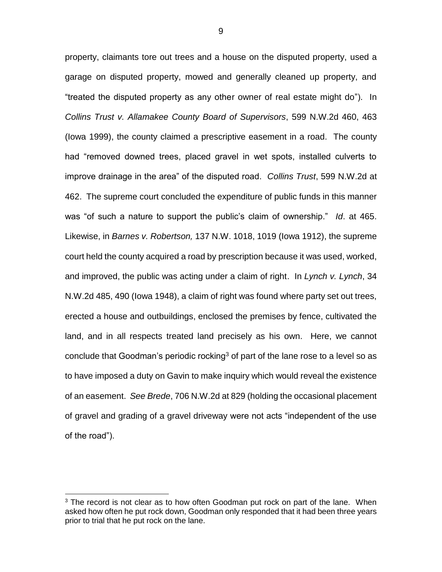property, claimants tore out trees and a house on the disputed property, used a garage on disputed property, mowed and generally cleaned up property, and "treated the disputed property as any other owner of real estate might do"). In *Collins Trust v. Allamakee County Board of Supervisors*, 599 N.W.2d 460, 463 (Iowa 1999), the county claimed a prescriptive easement in a road. The county had "removed downed trees, placed gravel in wet spots, installed culverts to improve drainage in the area" of the disputed road. *Collins Trust*, 599 N.W.2d at 462. The supreme court concluded the expenditure of public funds in this manner was "of such a nature to support the public's claim of ownership." *Id*. at 465. Likewise, in *Barnes v. Robertson,* 137 N.W. 1018, 1019 (Iowa 1912), the supreme court held the county acquired a road by prescription because it was used, worked, and improved, the public was acting under a claim of right. In *Lynch v. Lynch*, 34 N.W.2d 485, 490 (Iowa 1948), a claim of right was found where party set out trees, erected a house and outbuildings, enclosed the premises by fence, cultivated the land, and in all respects treated land precisely as his own. Here, we cannot conclude that Goodman's periodic rocking<sup>3</sup> of part of the lane rose to a level so as to have imposed a duty on Gavin to make inquiry which would reveal the existence of an easement. *See Brede*, 706 N.W.2d at 829 (holding the occasional placement of gravel and grading of a gravel driveway were not acts "independent of the use of the road").

 $\overline{a}$ 

 $3$  The record is not clear as to how often Goodman put rock on part of the lane. When asked how often he put rock down, Goodman only responded that it had been three years prior to trial that he put rock on the lane.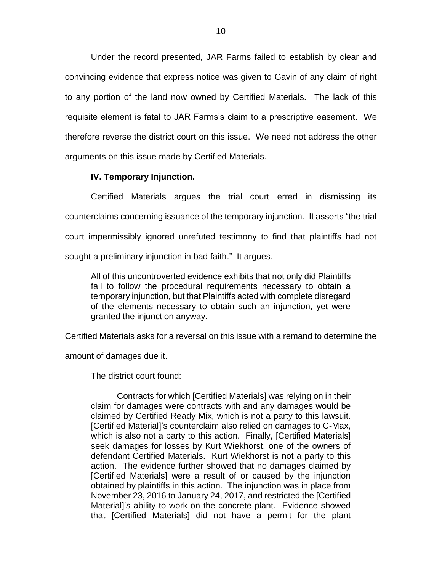Under the record presented, JAR Farms failed to establish by clear and convincing evidence that express notice was given to Gavin of any claim of right to any portion of the land now owned by Certified Materials. The lack of this requisite element is fatal to JAR Farms's claim to a prescriptive easement. We therefore reverse the district court on this issue. We need not address the other arguments on this issue made by Certified Materials.

### **IV. Temporary Injunction.**

Certified Materials argues the trial court erred in dismissing its counterclaims concerning issuance of the temporary injunction. It asserts "the trial court impermissibly ignored unrefuted testimony to find that plaintiffs had not sought a preliminary injunction in bad faith." It argues,

All of this uncontroverted evidence exhibits that not only did Plaintiffs fail to follow the procedural requirements necessary to obtain a temporary injunction, but that Plaintiffs acted with complete disregard of the elements necessary to obtain such an injunction, yet were granted the injunction anyway.

Certified Materials asks for a reversal on this issue with a remand to determine the

amount of damages due it.

The district court found:

Contracts for which [Certified Materials] was relying on in their claim for damages were contracts with and any damages would be claimed by Certified Ready Mix, which is not a party to this lawsuit. [Certified Material]'s counterclaim also relied on damages to C-Max, which is also not a party to this action. Finally, [Certified Materials] seek damages for losses by Kurt Wiekhorst, one of the owners of defendant Certified Materials. Kurt Wiekhorst is not a party to this action. The evidence further showed that no damages claimed by [Certified Materials] were a result of or caused by the injunction obtained by plaintiffs in this action. The injunction was in place from November 23, 2016 to January 24, 2017, and restricted the [Certified Material]'s ability to work on the concrete plant. Evidence showed that [Certified Materials] did not have a permit for the plant